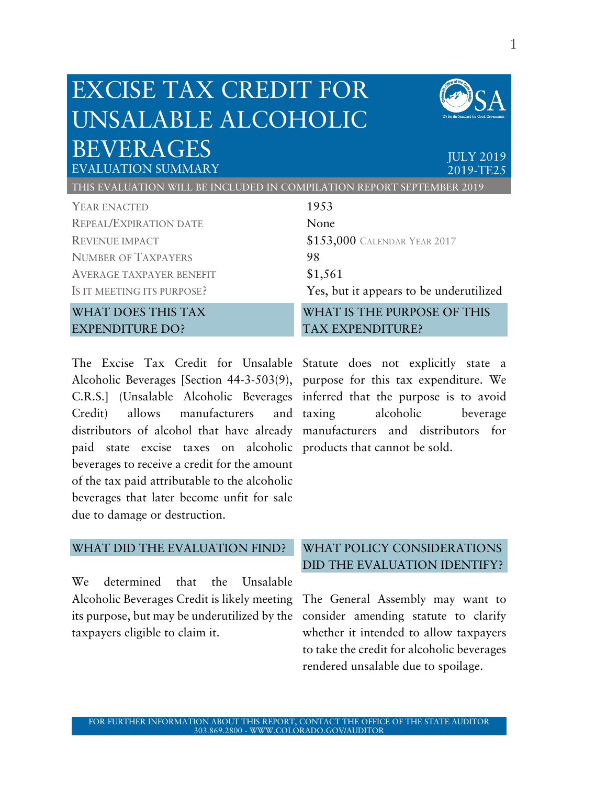# EXCISE TAX CREDIT FOR UNSALABLE ALCOHOLIC BEVERAGES JULY 2019



EVALUATION SUMMARY 2019-TE25

THIS EVALUATION WILL BE INCLUDED IN COMPILATION REPORT SEPTEMBER 2019

| YEAR ENACTED                                                                           | 1953                                          |                            |                                         |
|----------------------------------------------------------------------------------------|-----------------------------------------------|----------------------------|-----------------------------------------|
| <b>REPEAL/EXPIRATION DATE</b>                                                          | None                                          |                            |                                         |
| <b>REVENUE IMPACT</b><br><b>NUMBER OF TAXPAYERS</b><br><b>AVERAGE TAXPAYER BENEFIT</b> | \$153,000 CALENDAR YEAR 2017<br>98<br>\$1,561 |                            |                                         |
|                                                                                        |                                               | IS IT MEETING ITS PURPOSE? | Yes, but it appears to be underutilized |
|                                                                                        |                                               | <b>WHAT DOES THIS TAX</b>  | WHAT IS THE PURPOSE OF THIS             |
| <b>EXPENDITURE DO?</b>                                                                 | <b>TAX EXPENDITURE?</b>                       |                            |                                         |

The Excise Tax Credit for Unsalable Statute does not explicitly state a Alcoholic Beverages [Section 44-3-503(9), purpose for this tax expenditure. We C.R.S.] (Unsalable Alcoholic Beverages inferred that the purpose is to avoid Credit) allows manufacturers and distributors of alcohol that have already manufacturers and distributors for paid state excise taxes on alcoholic products that cannot be sold. beverages to receive a credit for the amount of the tax paid attributable to the alcoholic beverages that later become unfit for sale due to damage or destruction.

alcoholic beverage

#### WHAT DID THE EVALUATION FIND?

We determined that the Unsalable Alcoholic Beverages Credit is likely meeting The General Assembly may want to its purpose, but may be underutilized by the consider amending statute to clarify taxpayers eligible to claim it.

# WHAT POLICY CONSIDERATIONS DID THE EVALUATION IDENTIFY?

whether it intended to allow taxpayers to take the credit for alcoholic beverages rendered unsalable due to spoilage.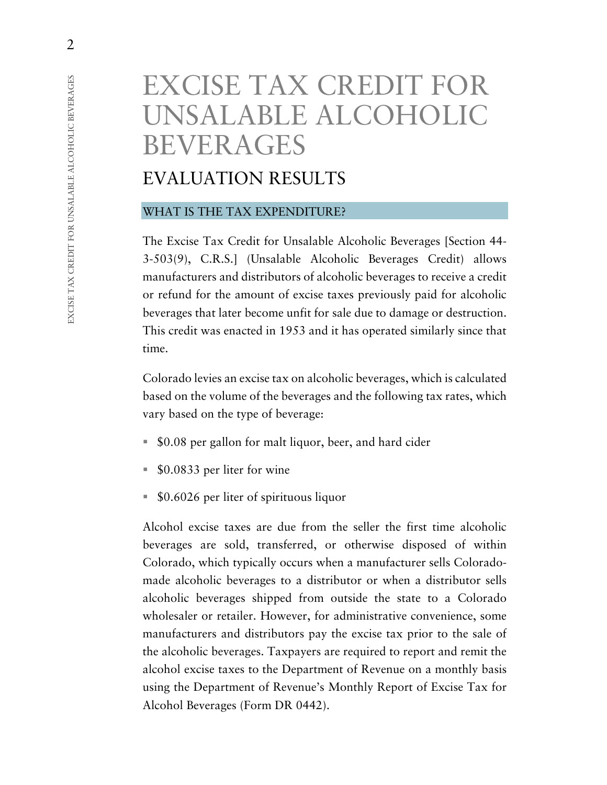# EXCISE TAX CREDIT FOR UNSALABLE ALCOHOLIC BEVERAGES

# EVALUATION RESULTS

#### WHAT IS THE TAX EXPENDITURE?

The Excise Tax Credit for Unsalable Alcoholic Beverages [Section 44- 3-503(9), C.R.S.] (Unsalable Alcoholic Beverages Credit) allows manufacturers and distributors of alcoholic beverages to receive a credit or refund for the amount of excise taxes previously paid for alcoholic beverages that later become unfit for sale due to damage or destruction. This credit was enacted in 1953 and it has operated similarly since that time.

Colorado levies an excise tax on alcoholic beverages, which is calculated based on the volume of the beverages and the following tax rates, which vary based on the type of beverage:

- \$0.08 per gallon for malt liquor, beer, and hard cider
- \$0.0833 per liter for wine
- \$0.6026 per liter of spirituous liquor

Alcohol excise taxes are due from the seller the first time alcoholic beverages are sold, transferred, or otherwise disposed of within Colorado, which typically occurs when a manufacturer sells Coloradomade alcoholic beverages to a distributor or when a distributor sells alcoholic beverages shipped from outside the state to a Colorado wholesaler or retailer. However, for administrative convenience, some manufacturers and distributors pay the excise tax prior to the sale of the alcoholic beverages. Taxpayers are required to report and remit the alcohol excise taxes to the Department of Revenue on a monthly basis using the Department of Revenue's Monthly Report of Excise Tax for Alcohol Beverages (Form DR 0442).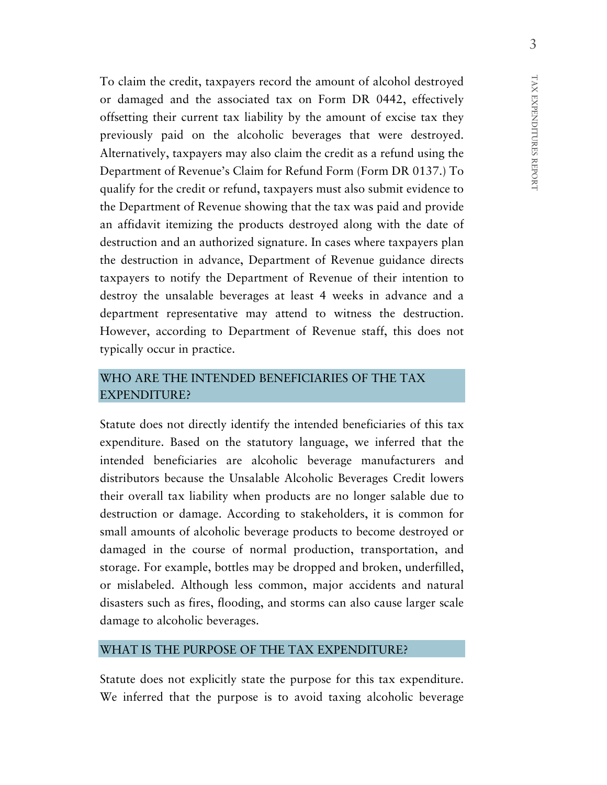To claim the credit, taxpayers record the amount of alcohol destroyed or damaged and the associated tax on Form DR 0442, effectively offsetting their current tax liability by the amount of excise tax they previously paid on the alcoholic beverages that were destroyed. Alternatively, taxpayers may also claim the credit as a refund using the Department of Revenue's Claim for Refund Form (Form DR 0137.) To qualify for the credit or refund, taxpayers must also submit evidence to the Department of Revenue showing that the tax was paid and provide an affidavit itemizing the products destroyed along with the date of destruction and an authorized signature. In cases where taxpayers plan the destruction in advance, Department of Revenue guidance directs taxpayers to notify the Department of Revenue of their intention to destroy the unsalable beverages at least 4 weeks in advance and a department representative may attend to witness the destruction. However, according to Department of Revenue staff, this does not typically occur in practice.

### WHO ARE THE INTENDED BENEFICIARIES OF THE TAX EXPENDITURE?

Statute does not directly identify the intended beneficiaries of this tax expenditure. Based on the statutory language, we inferred that the intended beneficiaries are alcoholic beverage manufacturers and distributors because the Unsalable Alcoholic Beverages Credit lowers their overall tax liability when products are no longer salable due to destruction or damage. According to stakeholders, it is common for small amounts of alcoholic beverage products to become destroyed or damaged in the course of normal production, transportation, and storage. For example, bottles may be dropped and broken, underfilled, or mislabeled. Although less common, major accidents and natural disasters such as fires, flooding, and storms can also cause larger scale damage to alcoholic beverages.

#### WHAT IS THE PURPOSE OF THE TAX EXPENDITURE?

Statute does not explicitly state the purpose for this tax expenditure. We inferred that the purpose is to avoid taxing alcoholic beverage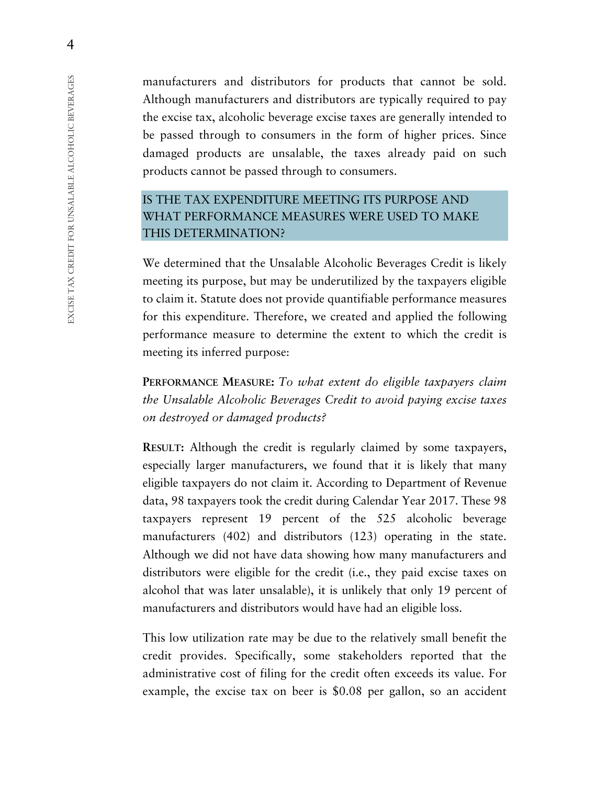manufacturers and distributors for products that cannot be sold. Although manufacturers and distributors are typically required to pay the excise tax, alcoholic beverage excise taxes are generally intended to be passed through to consumers in the form of higher prices. Since damaged products are unsalable, the taxes already paid on such products cannot be passed through to consumers.

# IS THE TAX EXPENDITURE MEETING ITS PURPOSE AND WHAT PERFORMANCE MEASURES WERE USED TO MAKE THIS DETERMINATION?

We determined that the Unsalable Alcoholic Beverages Credit is likely meeting its purpose, but may be underutilized by the taxpayers eligible to claim it. Statute does not provide quantifiable performance measures for this expenditure. Therefore, we created and applied the following performance measure to determine the extent to which the credit is meeting its inferred purpose:

**PERFORMANCE MEASURE:** *To what extent do eligible taxpayers claim the Unsalable Alcoholic Beverages Credit to avoid paying excise taxes on destroyed or damaged products?*

**RESULT:** Although the credit is regularly claimed by some taxpayers, especially larger manufacturers, we found that it is likely that many eligible taxpayers do not claim it. According to Department of Revenue data, 98 taxpayers took the credit during Calendar Year 2017. These 98 taxpayers represent 19 percent of the 525 alcoholic beverage manufacturers (402) and distributors (123) operating in the state. Although we did not have data showing how many manufacturers and distributors were eligible for the credit (i.e., they paid excise taxes on alcohol that was later unsalable), it is unlikely that only 19 percent of manufacturers and distributors would have had an eligible loss.

This low utilization rate may be due to the relatively small benefit the credit provides. Specifically, some stakeholders reported that the administrative cost of filing for the credit often exceeds its value. For example, the excise tax on beer is \$0.08 per gallon, so an accident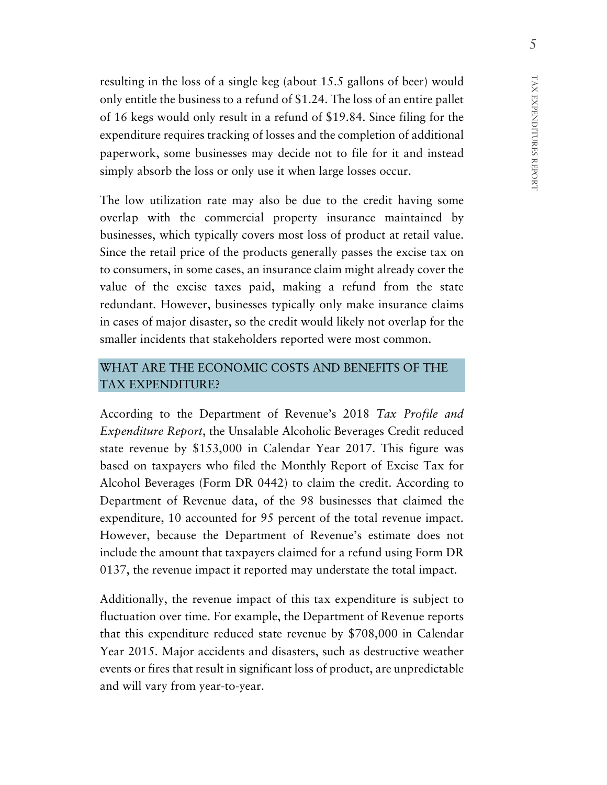resulting in the loss of a single keg (about 15.5 gallons of beer) would only entitle the business to a refund of \$1.24. The loss of an entire pallet of 16 kegs would only result in a refund of \$19.84. Since filing for the expenditure requires tracking of losses and the completion of additional paperwork, some businesses may decide not to file for it and instead simply absorb the loss or only use it when large losses occur.

The low utilization rate may also be due to the credit having some overlap with the commercial property insurance maintained by businesses, which typically covers most loss of product at retail value. Since the retail price of the products generally passes the excise tax on to consumers, in some cases, an insurance claim might already cover the value of the excise taxes paid, making a refund from the state redundant. However, businesses typically only make insurance claims in cases of major disaster, so the credit would likely not overlap for the smaller incidents that stakeholders reported were most common.

# WHAT ARE THE ECONOMIC COSTS AND BENEFITS OF THE TAX EXPENDITURE?

According to the Department of Revenue's 2018 *Tax Profile and Expenditure Report*, the Unsalable Alcoholic Beverages Credit reduced state revenue by \$153,000 in Calendar Year 2017. This figure was based on taxpayers who filed the Monthly Report of Excise Tax for Alcohol Beverages (Form DR 0442) to claim the credit. According to Department of Revenue data, of the 98 businesses that claimed the expenditure, 10 accounted for 95 percent of the total revenue impact. However, because the Department of Revenue's estimate does not include the amount that taxpayers claimed for a refund using Form DR 0137, the revenue impact it reported may understate the total impact.

Additionally, the revenue impact of this tax expenditure is subject to fluctuation over time. For example, the Department of Revenue reports that this expenditure reduced state revenue by \$708,000 in Calendar Year 2015. Major accidents and disasters, such as destructive weather events or fires that result in significant loss of product, are unpredictable and will vary from year-to-year.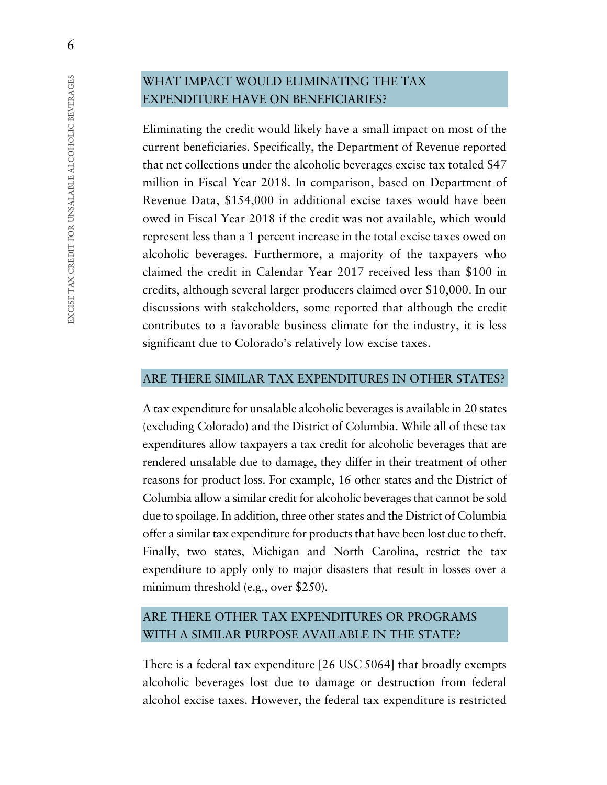# WHAT IMPACT WOULD ELIMINATING THE TAX EXPENDITURE HAVE ON BENEFICIARIES?

Eliminating the credit would likely have a small impact on most of the current beneficiaries. Specifically, the Department of Revenue reported that net collections under the alcoholic beverages excise tax totaled \$47 million in Fiscal Year 2018. In comparison, based on Department of Revenue Data, \$154,000 in additional excise taxes would have been owed in Fiscal Year 2018 if the credit was not available, which would represent less than a 1 percent increase in the total excise taxes owed on alcoholic beverages. Furthermore, a majority of the taxpayers who claimed the credit in Calendar Year 2017 received less than \$100 in credits, although several larger producers claimed over \$10,000. In our discussions with stakeholders, some reported that although the credit contributes to a favorable business climate for the industry, it is less significant due to Colorado's relatively low excise taxes.

#### ARE THERE SIMILAR TAX EXPENDITURES IN OTHER STATES?

A tax expenditure for unsalable alcoholic beverages is available in 20 states (excluding Colorado) and the District of Columbia. While all of these tax expenditures allow taxpayers a tax credit for alcoholic beverages that are rendered unsalable due to damage, they differ in their treatment of other reasons for product loss. For example, 16 other states and the District of Columbia allow a similar credit for alcoholic beverages that cannot be sold due to spoilage. In addition, three other states and the District of Columbia offer a similar tax expenditure for products that have been lost due to theft. Finally, two states, Michigan and North Carolina, restrict the tax expenditure to apply only to major disasters that result in losses over a minimum threshold (e.g., over \$250).

# ARE THERE OTHER TAX EXPENDITURES OR PROGRAMS WITH A SIMILAR PURPOSE AVAILABLE IN THE STATE?

There is a federal tax expenditure [26 USC 5064] that broadly exempts alcoholic beverages lost due to damage or destruction from federal alcohol excise taxes. However, the federal tax expenditure is restricted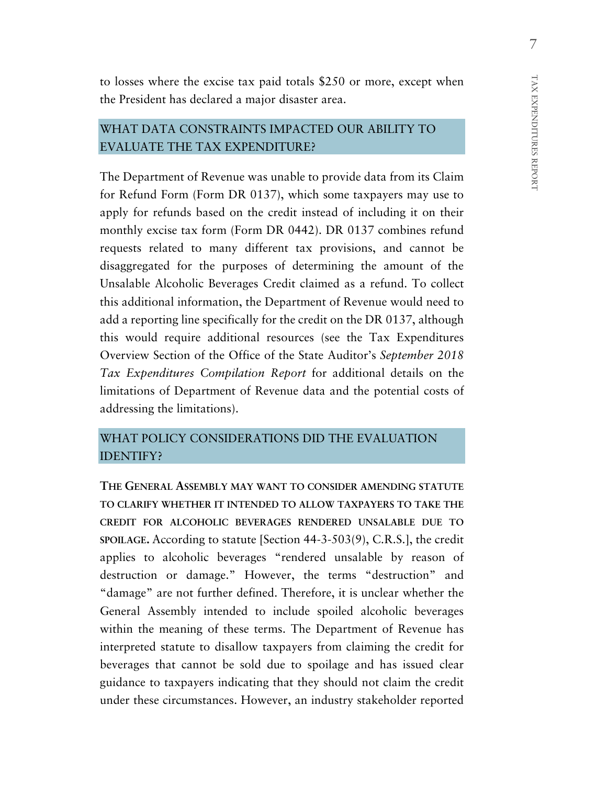to losses where the excise tax paid totals \$250 or more, except when the President has declared a major disaster area.

# WHAT DATA CONSTRAINTS IMPACTED OUR ABILITY TO EVALUATE THE TAX EXPENDITURE?

The Department of Revenue was unable to provide data from its Claim for Refund Form (Form DR 0137), which some taxpayers may use to apply for refunds based on the credit instead of including it on their monthly excise tax form (Form DR 0442). DR 0137 combines refund requests related to many different tax provisions, and cannot be disaggregated for the purposes of determining the amount of the Unsalable Alcoholic Beverages Credit claimed as a refund. To collect this additional information, the Department of Revenue would need to add a reporting line specifically for the credit on the DR 0137, although this would require additional resources (see the Tax Expenditures Overview Section of the Office of the State Auditor's *September 2018 Tax Expenditures Compilation Report* for additional details on the limitations of Department of Revenue data and the potential costs of addressing the limitations).

# WHAT POLICY CONSIDERATIONS DID THE EVALUATION IDENTIFY?

**THE GENERAL ASSEMBLY MAY WANT TO CONSIDER AMENDING STATUTE TO CLARIFY WHETHER IT INTENDED TO ALLOW TAXPAYERS TO TAKE THE CREDIT FOR ALCOHOLIC BEVERAGES RENDERED UNSALABLE DUE TO SPOILAGE.** According to statute [Section 44-3-503(9), C.R.S.], the credit applies to alcoholic beverages "rendered unsalable by reason of destruction or damage." However, the terms "destruction" and "damage" are not further defined. Therefore, it is unclear whether the General Assembly intended to include spoiled alcoholic beverages within the meaning of these terms. The Department of Revenue has interpreted statute to disallow taxpayers from claiming the credit for beverages that cannot be sold due to spoilage and has issued clear guidance to taxpayers indicating that they should not claim the credit under these circumstances. However, an industry stakeholder reported